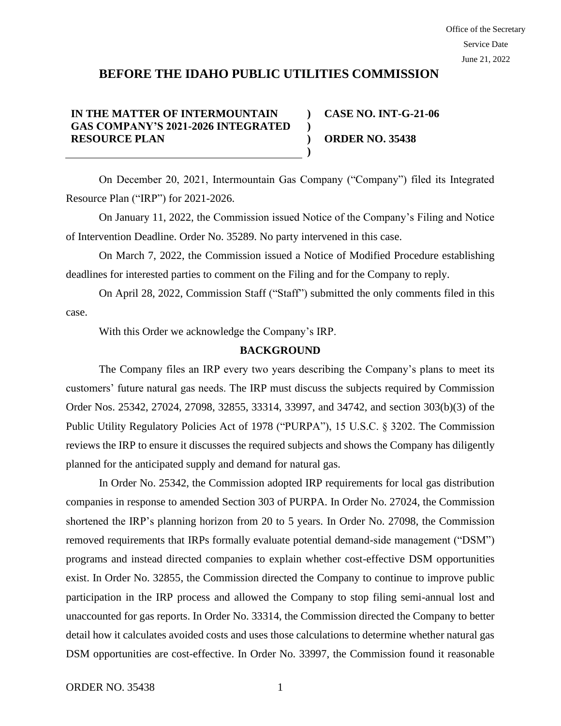# **BEFORE THE IDAHO PUBLIC UTILITIES COMMISSION**

#### **IN THE MATTER OF INTERMOUNTAIN GAS COMPANY'S 2021-2026 INTEGRATED RESOURCE PLAN ) ) )**

**CASE NO. INT-G-21-06 ORDER NO. 35438**

On December 20, 2021, Intermountain Gas Company ("Company") filed its Integrated Resource Plan ("IRP") for 2021-2026.

**)**

On January 11, 2022, the Commission issued Notice of the Company's Filing and Notice of Intervention Deadline. Order No. 35289. No party intervened in this case.

On March 7, 2022, the Commission issued a Notice of Modified Procedure establishing deadlines for interested parties to comment on the Filing and for the Company to reply.

On April 28, 2022, Commission Staff ("Staff") submitted the only comments filed in this case.

With this Order we acknowledge the Company's IRP.

### **BACKGROUND**

The Company files an IRP every two years describing the Company's plans to meet its customers' future natural gas needs. The IRP must discuss the subjects required by Commission Order Nos. 25342, 27024, 27098, 32855, 33314, 33997, and 34742, and section 303(b)(3) of the Public Utility Regulatory Policies Act of 1978 ("PURPA"), 15 U.S.C. § 3202. The Commission reviews the IRP to ensure it discusses the required subjects and shows the Company has diligently planned for the anticipated supply and demand for natural gas.

In Order No. 25342, the Commission adopted IRP requirements for local gas distribution companies in response to amended Section 303 of PURPA. In Order No. 27024, the Commission shortened the IRP's planning horizon from 20 to 5 years. In Order No. 27098, the Commission removed requirements that IRPs formally evaluate potential demand-side management ("DSM") programs and instead directed companies to explain whether cost-effective DSM opportunities exist. In Order No. 32855, the Commission directed the Company to continue to improve public participation in the IRP process and allowed the Company to stop filing semi-annual lost and unaccounted for gas reports. In Order No. 33314, the Commission directed the Company to better detail how it calculates avoided costs and uses those calculations to determine whether natural gas DSM opportunities are cost-effective. In Order No. 33997, the Commission found it reasonable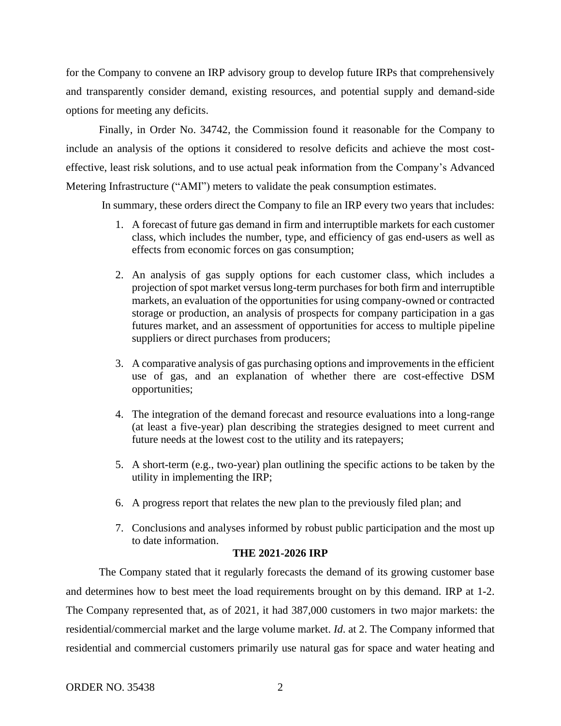for the Company to convene an IRP advisory group to develop future IRPs that comprehensively and transparently consider demand, existing resources, and potential supply and demand-side options for meeting any deficits.

Finally, in Order No. 34742, the Commission found it reasonable for the Company to include an analysis of the options it considered to resolve deficits and achieve the most costeffective, least risk solutions, and to use actual peak information from the Company's Advanced Metering Infrastructure ("AMI") meters to validate the peak consumption estimates.

In summary, these orders direct the Company to file an IRP every two years that includes:

- 1. A forecast of future gas demand in firm and interruptible markets for each customer class, which includes the number, type, and efficiency of gas end-users as well as effects from economic forces on gas consumption;
- 2. An analysis of gas supply options for each customer class, which includes a projection of spot market versus long-term purchases for both firm and interruptible markets, an evaluation of the opportunities for using company-owned or contracted storage or production, an analysis of prospects for company participation in a gas futures market, and an assessment of opportunities for access to multiple pipeline suppliers or direct purchases from producers;
- 3. A comparative analysis of gas purchasing options and improvements in the efficient use of gas, and an explanation of whether there are cost-effective DSM opportunities;
- 4. The integration of the demand forecast and resource evaluations into a long-range (at least a five-year) plan describing the strategies designed to meet current and future needs at the lowest cost to the utility and its ratepayers;
- 5. A short-term (e.g., two-year) plan outlining the specific actions to be taken by the utility in implementing the IRP;
- 6. A progress report that relates the new plan to the previously filed plan; and
- 7. Conclusions and analyses informed by robust public participation and the most up to date information.

#### **THE 2021-2026 IRP**

The Company stated that it regularly forecasts the demand of its growing customer base and determines how to best meet the load requirements brought on by this demand. IRP at 1-2. The Company represented that, as of 2021, it had 387,000 customers in two major markets: the residential/commercial market and the large volume market. *Id*. at 2. The Company informed that residential and commercial customers primarily use natural gas for space and water heating and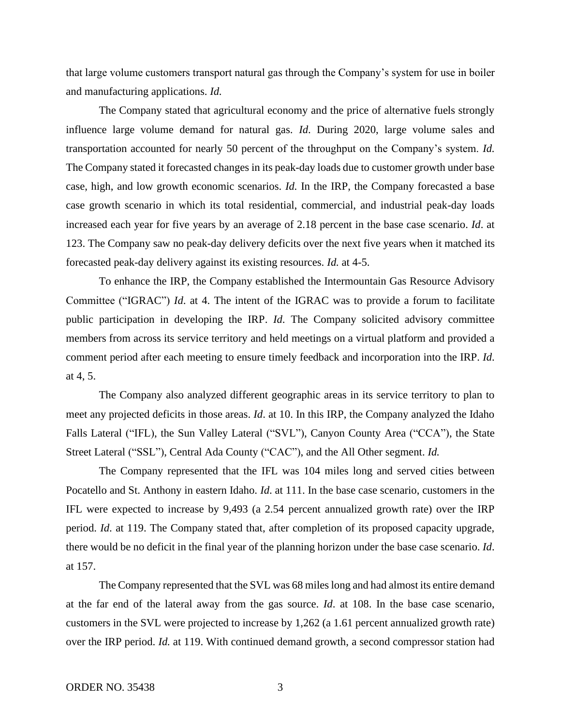that large volume customers transport natural gas through the Company's system for use in boiler and manufacturing applications. *Id.*

The Company stated that agricultural economy and the price of alternative fuels strongly influence large volume demand for natural gas. *Id*. During 2020, large volume sales and transportation accounted for nearly 50 percent of the throughput on the Company's system. *Id.*  The Company stated it forecasted changes in its peak-day loads due to customer growth under base case, high, and low growth economic scenarios. *Id.* In the IRP, the Company forecasted a base case growth scenario in which its total residential, commercial, and industrial peak-day loads increased each year for five years by an average of 2.18 percent in the base case scenario. *Id*. at 123. The Company saw no peak-day delivery deficits over the next five years when it matched its forecasted peak-day delivery against its existing resources. *Id.* at 4-5.

To enhance the IRP, the Company established the Intermountain Gas Resource Advisory Committee ("IGRAC") *Id*. at 4. The intent of the IGRAC was to provide a forum to facilitate public participation in developing the IRP. *Id*. The Company solicited advisory committee members from across its service territory and held meetings on a virtual platform and provided a comment period after each meeting to ensure timely feedback and incorporation into the IRP. *Id*. at 4, 5.

The Company also analyzed different geographic areas in its service territory to plan to meet any projected deficits in those areas. *Id*. at 10. In this IRP, the Company analyzed the Idaho Falls Lateral ("IFL), the Sun Valley Lateral ("SVL"), Canyon County Area ("CCA"), the State Street Lateral ("SSL"), Central Ada County ("CAC"), and the All Other segment. *Id.*

The Company represented that the IFL was 104 miles long and served cities between Pocatello and St. Anthony in eastern Idaho. *Id*. at 111. In the base case scenario, customers in the IFL were expected to increase by 9,493 (a 2.54 percent annualized growth rate) over the IRP period. *Id*. at 119. The Company stated that, after completion of its proposed capacity upgrade, there would be no deficit in the final year of the planning horizon under the base case scenario. *Id*. at 157.

The Company represented that the SVL was 68 miles long and had almost its entire demand at the far end of the lateral away from the gas source. *Id*. at 108. In the base case scenario, customers in the SVL were projected to increase by 1,262 (a 1.61 percent annualized growth rate) over the IRP period. *Id.* at 119. With continued demand growth, a second compressor station had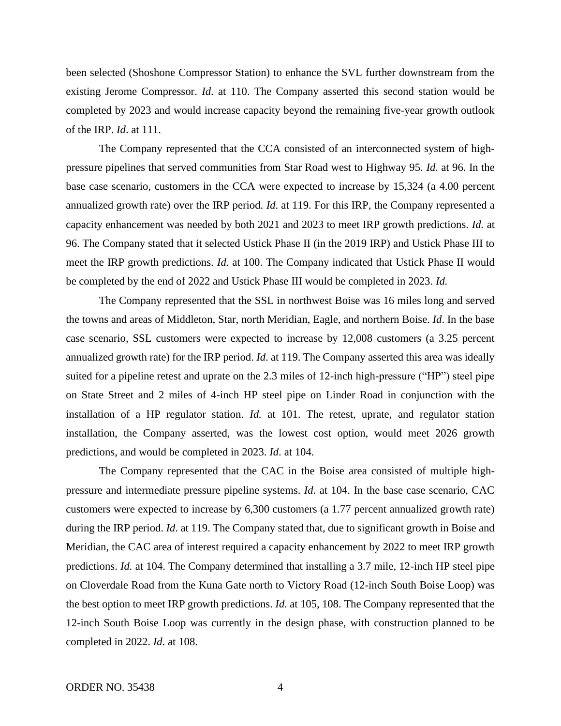been selected (Shoshone Compressor Station) to enhance the SVL further downstream from the existing Jerome Compressor. *Id*. at 110. The Company asserted this second station would be completed by 2023 and would increase capacity beyond the remaining five-year growth outlook of the IRP. *Id*. at 111.

The Company represented that the CCA consisted of an interconnected system of highpressure pipelines that served communities from Star Road west to Highway 95. *Id.* at 96. In the base case scenario, customers in the CCA were expected to increase by 15,324 (a 4.00 percent annualized growth rate) over the IRP period. *Id*. at 119. For this IRP, the Company represented a capacity enhancement was needed by both 2021 and 2023 to meet IRP growth predictions. *Id.* at 96. The Company stated that it selected Ustick Phase II (in the 2019 IRP) and Ustick Phase III to meet the IRP growth predictions. *Id.* at 100. The Company indicated that Ustick Phase II would be completed by the end of 2022 and Ustick Phase III would be completed in 2023. *Id.* 

The Company represented that the SSL in northwest Boise was 16 miles long and served the towns and areas of Middleton, Star, north Meridian, Eagle, and northern Boise. *Id*. In the base case scenario, SSL customers were expected to increase by 12,008 customers (a 3.25 percent annualized growth rate) for the IRP period. *Id*. at 119. The Company asserted this area was ideally suited for a pipeline retest and uprate on the 2.3 miles of 12-inch high-pressure ("HP") steel pipe on State Street and 2 miles of 4-inch HP steel pipe on Linder Road in conjunction with the installation of a HP regulator station. *Id.* at 101. The retest, uprate, and regulator station installation, the Company asserted, was the lowest cost option, would meet 2026 growth predictions, and would be completed in 2023. *Id*. at 104.

The Company represented that the CAC in the Boise area consisted of multiple highpressure and intermediate pressure pipeline systems. *Id*. at 104. In the base case scenario, CAC customers were expected to increase by 6,300 customers (a 1.77 percent annualized growth rate) during the IRP period. *Id*. at 119. The Company stated that, due to significant growth in Boise and Meridian, the CAC area of interest required a capacity enhancement by 2022 to meet IRP growth predictions. *Id.* at 104. The Company determined that installing a 3.7 mile, 12-inch HP steel pipe on Cloverdale Road from the Kuna Gate north to Victory Road (12-inch South Boise Loop) was the best option to meet IRP growth predictions. *Id.* at 105, 108. The Company represented that the 12-inch South Boise Loop was currently in the design phase, with construction planned to be completed in 2022. *Id*. at 108.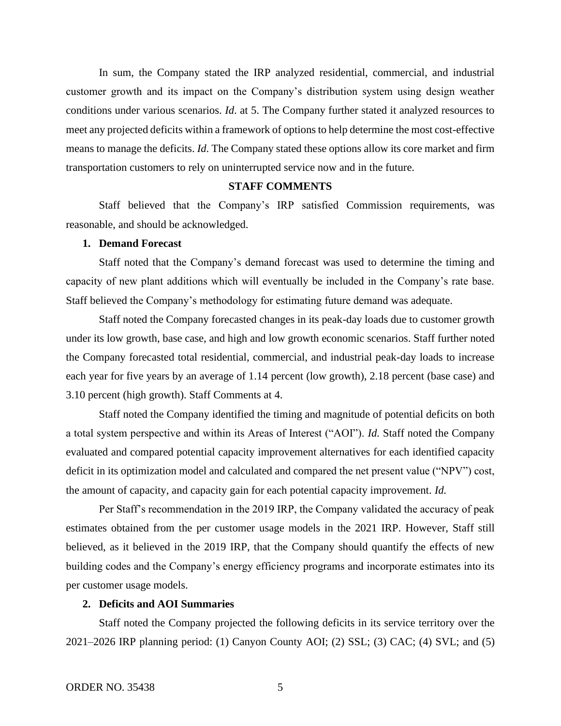In sum, the Company stated the IRP analyzed residential, commercial, and industrial customer growth and its impact on the Company's distribution system using design weather conditions under various scenarios. *Id*. at 5. The Company further stated it analyzed resources to meet any projected deficits within a framework of options to help determine the most cost-effective means to manage the deficits. *Id*. The Company stated these options allow its core market and firm transportation customers to rely on uninterrupted service now and in the future.

# **STAFF COMMENTS**

Staff believed that the Company's IRP satisfied Commission requirements, was reasonable, and should be acknowledged.

### **1. Demand Forecast**

Staff noted that the Company's demand forecast was used to determine the timing and capacity of new plant additions which will eventually be included in the Company's rate base. Staff believed the Company's methodology for estimating future demand was adequate.

Staff noted the Company forecasted changes in its peak-day loads due to customer growth under its low growth, base case, and high and low growth economic scenarios. Staff further noted the Company forecasted total residential, commercial, and industrial peak-day loads to increase each year for five years by an average of 1.14 percent (low growth), 2.18 percent (base case) and 3.10 percent (high growth). Staff Comments at 4.

Staff noted the Company identified the timing and magnitude of potential deficits on both a total system perspective and within its Areas of Interest ("AOI"). *Id.* Staff noted the Company evaluated and compared potential capacity improvement alternatives for each identified capacity deficit in its optimization model and calculated and compared the net present value ("NPV") cost, the amount of capacity, and capacity gain for each potential capacity improvement. *Id.* 

Per Staff's recommendation in the 2019 IRP, the Company validated the accuracy of peak estimates obtained from the per customer usage models in the 2021 IRP. However, Staff still believed, as it believed in the 2019 IRP, that the Company should quantify the effects of new building codes and the Company's energy efficiency programs and incorporate estimates into its per customer usage models.

### **2. Deficits and AOI Summaries**

Staff noted the Company projected the following deficits in its service territory over the 2021–2026 IRP planning period: (1) Canyon County AOI; (2) SSL; (3) CAC; (4) SVL; and (5)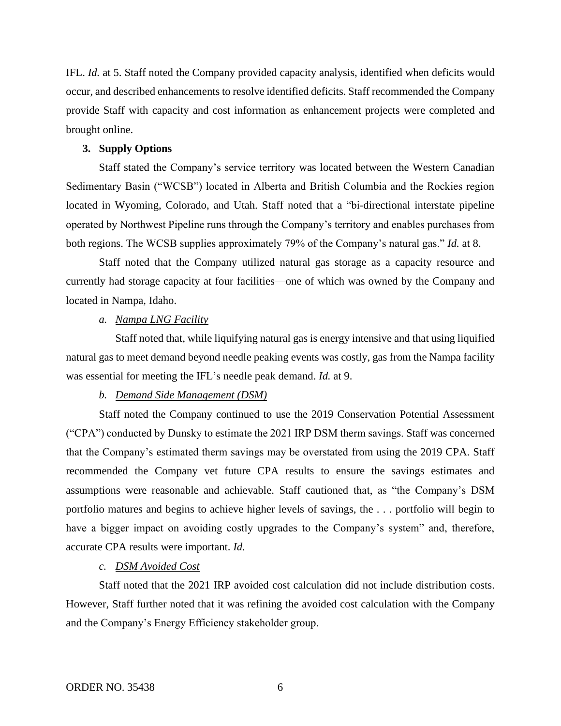IFL. *Id.* at 5. Staff noted the Company provided capacity analysis, identified when deficits would occur, and described enhancements to resolve identified deficits. Staff recommended the Company provide Staff with capacity and cost information as enhancement projects were completed and brought online.

## **3. Supply Options**

Staff stated the Company's service territory was located between the Western Canadian Sedimentary Basin ("WCSB") located in Alberta and British Columbia and the Rockies region located in Wyoming, Colorado, and Utah. Staff noted that a "bi-directional interstate pipeline operated by Northwest Pipeline runs through the Company's territory and enables purchases from both regions. The WCSB supplies approximately 79% of the Company's natural gas." *Id.* at 8.

Staff noted that the Company utilized natural gas storage as a capacity resource and currently had storage capacity at four facilities—one of which was owned by the Company and located in Nampa, Idaho.

# *a. Nampa LNG Facility*

Staff noted that, while liquifying natural gas is energy intensive and that using liquified natural gas to meet demand beyond needle peaking events was costly, gas from the Nampa facility was essential for meeting the IFL's needle peak demand. *Id.* at 9.

#### *b. Demand Side Management (DSM)*

Staff noted the Company continued to use the 2019 Conservation Potential Assessment ("CPA") conducted by Dunsky to estimate the 2021 IRP DSM therm savings. Staff was concerned that the Company's estimated therm savings may be overstated from using the 2019 CPA. Staff recommended the Company vet future CPA results to ensure the savings estimates and assumptions were reasonable and achievable. Staff cautioned that, as "the Company's DSM portfolio matures and begins to achieve higher levels of savings, the . . . portfolio will begin to have a bigger impact on avoiding costly upgrades to the Company's system" and, therefore, accurate CPA results were important. *Id.* 

# *c. DSM Avoided Cost*

Staff noted that the 2021 IRP avoided cost calculation did not include distribution costs. However, Staff further noted that it was refining the avoided cost calculation with the Company and the Company's Energy Efficiency stakeholder group.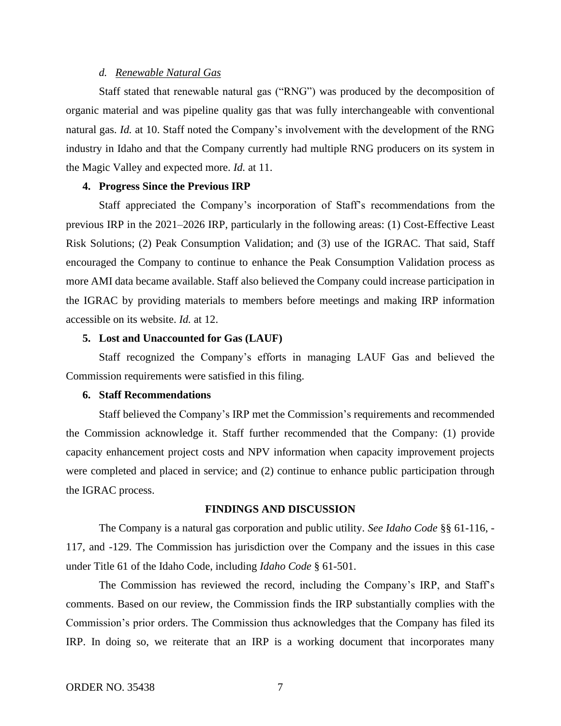#### *d. Renewable Natural Gas*

Staff stated that renewable natural gas ("RNG") was produced by the decomposition of organic material and was pipeline quality gas that was fully interchangeable with conventional natural gas. *Id.* at 10. Staff noted the Company's involvement with the development of the RNG industry in Idaho and that the Company currently had multiple RNG producers on its system in the Magic Valley and expected more. *Id.* at 11.

# **4. Progress Since the Previous IRP**

Staff appreciated the Company's incorporation of Staff's recommendations from the previous IRP in the 2021–2026 IRP, particularly in the following areas: (1) Cost-Effective Least Risk Solutions; (2) Peak Consumption Validation; and (3) use of the IGRAC. That said, Staff encouraged the Company to continue to enhance the Peak Consumption Validation process as more AMI data became available. Staff also believed the Company could increase participation in the IGRAC by providing materials to members before meetings and making IRP information accessible on its website. *Id.* at 12.

### **5. Lost and Unaccounted for Gas (LAUF)**

Staff recognized the Company's efforts in managing LAUF Gas and believed the Commission requirements were satisfied in this filing.

#### **6. Staff Recommendations**

Staff believed the Company's IRP met the Commission's requirements and recommended the Commission acknowledge it. Staff further recommended that the Company: (1) provide capacity enhancement project costs and NPV information when capacity improvement projects were completed and placed in service; and (2) continue to enhance public participation through the IGRAC process.

## **FINDINGS AND DISCUSSION**

The Company is a natural gas corporation and public utility. *See Idaho Code* §§ 61-116, - 117, and -129. The Commission has jurisdiction over the Company and the issues in this case under Title 61 of the Idaho Code, including *Idaho Code* § 61-501.

The Commission has reviewed the record, including the Company's IRP, and Staff's comments. Based on our review, the Commission finds the IRP substantially complies with the Commission's prior orders. The Commission thus acknowledges that the Company has filed its IRP. In doing so, we reiterate that an IRP is a working document that incorporates many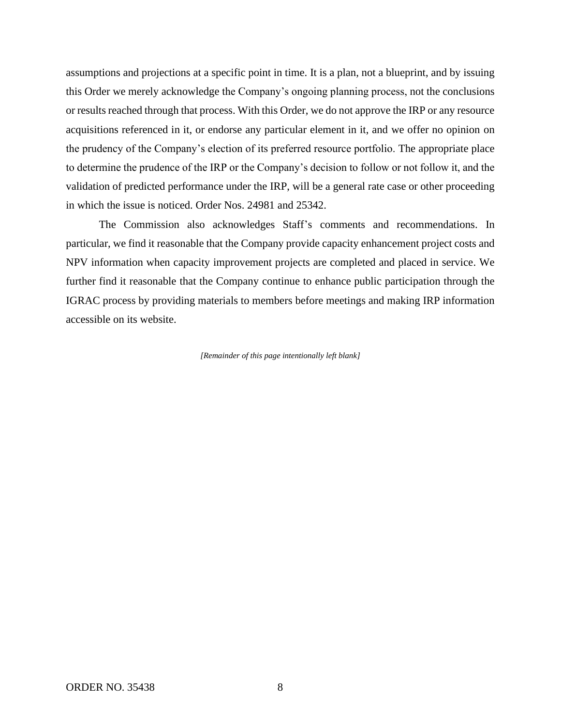assumptions and projections at a specific point in time. It is a plan, not a blueprint, and by issuing this Order we merely acknowledge the Company's ongoing planning process, not the conclusions or results reached through that process. With this Order, we do not approve the IRP or any resource acquisitions referenced in it, or endorse any particular element in it, and we offer no opinion on the prudency of the Company's election of its preferred resource portfolio. The appropriate place to determine the prudence of the IRP or the Company's decision to follow or not follow it, and the validation of predicted performance under the IRP, will be a general rate case or other proceeding in which the issue is noticed. Order Nos. 24981 and 25342.

The Commission also acknowledges Staff's comments and recommendations. In particular, we find it reasonable that the Company provide capacity enhancement project costs and NPV information when capacity improvement projects are completed and placed in service. We further find it reasonable that the Company continue to enhance public participation through the IGRAC process by providing materials to members before meetings and making IRP information accessible on its website.

*[Remainder of this page intentionally left blank]*